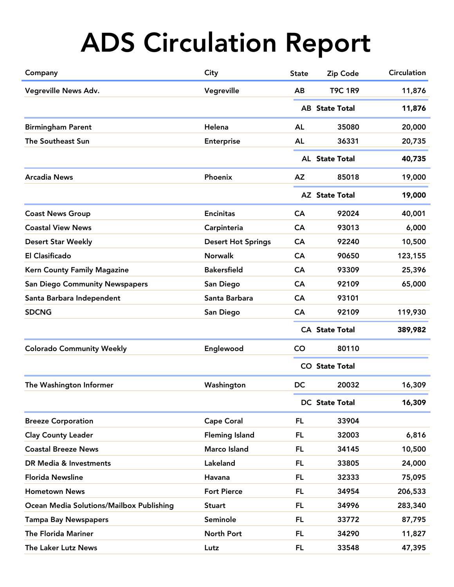| Company                                  | City                      | <b>State</b>          | Zip Code              | <b>Circulation</b> |
|------------------------------------------|---------------------------|-----------------------|-----------------------|--------------------|
| Vegreville News Adv.                     | Vegreville                | AB                    | <b>T9C 1R9</b>        | 11,876             |
|                                          |                           |                       | <b>AB</b> State Total | 11,876             |
| <b>Birmingham Parent</b>                 | Helena                    | <b>AL</b>             | 35080                 | 20,000             |
| The Southeast Sun                        | <b>Enterprise</b>         | AL                    | 36331                 | 20,735             |
|                                          |                           |                       | AL State Total        | 40,735             |
| <b>Arcadia News</b>                      | Phoenix                   | <b>AZ</b>             | 85018                 | 19,000             |
|                                          |                           |                       | <b>AZ</b> State Total | 19,000             |
| <b>Coast News Group</b>                  | <b>Encinitas</b>          | <b>CA</b>             | 92024                 | 40,001             |
| <b>Coastal View News</b>                 | Carpinteria               | CA                    | 93013                 | 6,000              |
| <b>Desert Star Weekly</b>                | <b>Desert Hot Springs</b> | <b>CA</b>             | 92240                 | 10,500             |
| <b>El Clasificado</b>                    | <b>Norwalk</b>            | CA                    | 90650                 | 123,155            |
| <b>Kern County Family Magazine</b>       | <b>Bakersfield</b>        | CA                    | 93309                 | 25,396             |
| <b>San Diego Community Newspapers</b>    | San Diego                 | CA                    | 92109                 | 65,000             |
| Santa Barbara Independent                | Santa Barbara             | CA                    | 93101                 |                    |
| <b>SDCNG</b>                             | San Diego                 | <b>CA</b>             | 92109                 | 119,930            |
|                                          |                           |                       | <b>CA State Total</b> | 389,982            |
| <b>Colorado Community Weekly</b>         | Englewood                 | <b>CO</b>             | 80110                 |                    |
|                                          |                           |                       | <b>CO</b> State Total |                    |
| The Washington Informer                  | Washington                | DC                    | 20032                 | 16,309             |
|                                          |                           | <b>DC</b> State Total |                       | 16,309             |
| <b>Breeze Corporation</b>                | Cape Coral                | <b>FL</b>             | 33904                 |                    |
| <b>Clay County Leader</b>                | <b>Fleming Island</b>     | FL.                   | 32003                 | 6,816              |
| <b>Coastal Breeze News</b>               | Marco Island              | FL.                   | 34145                 | 10,500             |
| DR Media & Investments                   | Lakeland                  | FL.                   | 33805                 | 24,000             |
| <b>Florida Newsline</b>                  | Havana                    | FL.                   | 32333                 | 75,095             |
| <b>Hometown News</b>                     | <b>Fort Pierce</b>        | FL.                   | 34954                 | 206,533            |
| Ocean Media Solutions/Mailbox Publishing | <b>Stuart</b>             | FL.                   | 34996                 | 283,340            |
| <b>Tampa Bay Newspapers</b>              | Seminole                  | FL.                   | 33772                 | 87,795             |
| <b>The Florida Mariner</b>               | North Port                | <b>FL</b>             | 34290                 | 11,827             |
| The Laker Lutz News                      | Lutz                      | FL.                   | 33548                 | 47,395             |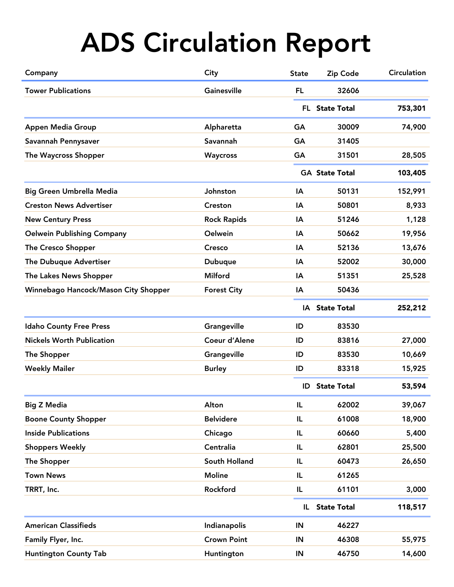| Company                              | City               | <b>State</b> | Zip Code                         | <b>Circulation</b> |  |
|--------------------------------------|--------------------|--------------|----------------------------------|--------------------|--|
| <b>Tower Publications</b>            | Gainesville        | <b>FL</b>    | 32606                            |                    |  |
|                                      |                    |              | FL State Total                   | 753,301            |  |
| Appen Media Group                    | Alpharetta         | GA           | 30009                            | 74,900             |  |
| Savannah Pennysaver                  | Savannah           | <b>GA</b>    | 31405                            |                    |  |
| The Waycross Shopper                 | Waycross           | GA           | 31501                            | 28,505             |  |
|                                      |                    |              | <b>GA State Total</b><br>103,405 |                    |  |
| <b>Big Green Umbrella Media</b>      | Johnston           | IA           | 50131                            | 152,991            |  |
| <b>Creston News Advertiser</b>       | Creston            | IA           | 50801                            | 8,933              |  |
| <b>New Century Press</b>             | <b>Rock Rapids</b> | IA           | 51246                            | 1,128              |  |
| <b>Oelwein Publishing Company</b>    | Oelwein            | IA           | 50662                            | 19,956             |  |
| The Cresco Shopper                   | Cresco             | ΙA           | 52136                            | 13,676             |  |
| The Dubuque Advertiser               | <b>Dubuque</b>     | IA           | 52002                            | 30,000             |  |
| The Lakes News Shopper               | <b>Milford</b>     | IA           | 51351                            | 25,528             |  |
| Winnebago Hancock/Mason City Shopper | <b>Forest City</b> | IA           | 50436                            |                    |  |
|                                      |                    |              | IA State Total                   | 252,212            |  |
| <b>Idaho County Free Press</b>       | Grangeville        | ID           | 83530                            |                    |  |
| <b>Nickels Worth Publication</b>     | Coeur d'Alene      | ID           | 83816                            | 27,000             |  |
| <b>The Shopper</b>                   | Grangeville        | ID           | 83530                            | 10,669             |  |
| <b>Weekly Mailer</b>                 | <b>Burley</b>      | ID           | 83318                            | 15,925             |  |
|                                      |                    | ID           | <b>State Total</b>               | 53,594             |  |
| <b>Big Z Media</b>                   | Alton              | IL           | 62002                            | 39,067             |  |
| <b>Boone County Shopper</b>          | <b>Belvidere</b>   | IL           | 61008                            | 18,900             |  |
| <b>Inside Publications</b>           | Chicago            | IL           | 60660                            | 5,400              |  |
| <b>Shoppers Weekly</b>               | Centralia          | IL           | 62801                            | 25,500             |  |
| The Shopper                          | South Holland      | IL           | 60473                            | 26,650             |  |
| <b>Town News</b>                     | <b>Moline</b>      | IL           | 61265                            |                    |  |
| TRRT, Inc.                           | Rockford           | IL           | 61101                            | 3,000              |  |
|                                      |                    | IL.          | <b>State Total</b>               | 118,517            |  |
| <b>American Classifieds</b>          | Indianapolis       | IN           | 46227                            |                    |  |
| Family Flyer, Inc.                   | <b>Crown Point</b> | IN           | 46308                            | 55,975             |  |
| <b>Huntington County Tab</b>         | Huntington         | IN           | 46750                            | 14,600             |  |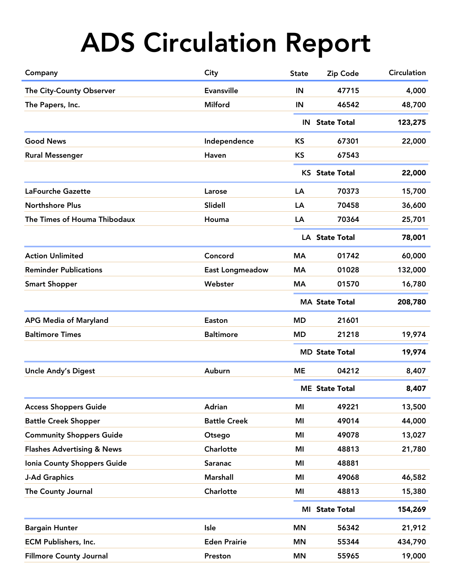| Company                               | City                | <b>State</b>   | Zip Code              | <b>Circulation</b> |
|---------------------------------------|---------------------|----------------|-----------------------|--------------------|
| The City-County Observer              | <b>Evansville</b>   | IN             | 47715                 | 4,000              |
| The Papers, Inc.                      | Milford             | IN             | 46542                 | 48,700             |
|                                       |                     |                | <b>IN</b> State Total | 123,275            |
| <b>Good News</b>                      | Independence        | <b>KS</b>      | 67301                 | 22,000             |
| <b>Rural Messenger</b>                | Haven               | <b>KS</b>      | 67543                 |                    |
|                                       |                     |                | <b>KS</b> State Total | 22,000             |
| LaFourche Gazette                     | Larose              | LA             | 70373                 | 15,700             |
| <b>Northshore Plus</b>                | <b>Slidell</b>      | LA             | 70458                 | 36,600             |
| The Times of Houma Thibodaux          | Houma               | LA             | 70364                 | 25,701             |
|                                       |                     |                | <b>LA</b> State Total | 78,001             |
| <b>Action Unlimited</b>               | Concord             | <b>MA</b>      | 01742                 | 60,000             |
| <b>Reminder Publications</b>          | East Longmeadow     | МA             | 01028                 | 132,000            |
| <b>Smart Shopper</b>                  | Webster             | МA             | 01570                 | 16,780             |
|                                       |                     |                | <b>MA State Total</b> | 208,780            |
| <b>APG Media of Maryland</b>          | Easton              | <b>MD</b>      | 21601                 |                    |
| <b>Baltimore Times</b>                | <b>Baltimore</b>    | <b>MD</b>      | 21218                 | 19,974             |
|                                       |                     |                | <b>MD State Total</b> | 19,974             |
| <b>Uncle Andy's Digest</b>            | Auburn              | <b>ME</b>      | 04212                 | 8,407              |
|                                       |                     |                | <b>ME</b> State Total | 8,407              |
| <b>Access Shoppers Guide</b>          | Adrian              | MI             | 49221                 | 13,500             |
| <b>Battle Creek Shopper</b>           | <b>Battle Creek</b> | MI             | 49014                 | 44,000             |
| <b>Community Shoppers Guide</b>       | Otsego              | MI             | 49078                 | 13,027             |
| <b>Flashes Advertising &amp; News</b> | Charlotte           | MI             | 48813                 | 21,780             |
| Ionia County Shoppers Guide           | Saranac             | MI             | 48881                 |                    |
| <b>J-Ad Graphics</b>                  | <b>Marshall</b>     | ΜI             | 49068                 | 46,582             |
| The County Journal                    | Charlotte           | MI             | 48813                 | 15,380             |
|                                       |                     | MI State Total |                       | 154,269            |
| <b>Bargain Hunter</b>                 | Isle                | <b>MN</b>      | 56342                 | 21,912             |
| <b>ECM Publishers, Inc.</b>           | <b>Eden Prairie</b> | <b>MN</b>      | 55344                 | 434,790            |
| <b>Fillmore County Journal</b>        | Preston             | <b>MN</b>      | 55965                 | 19,000             |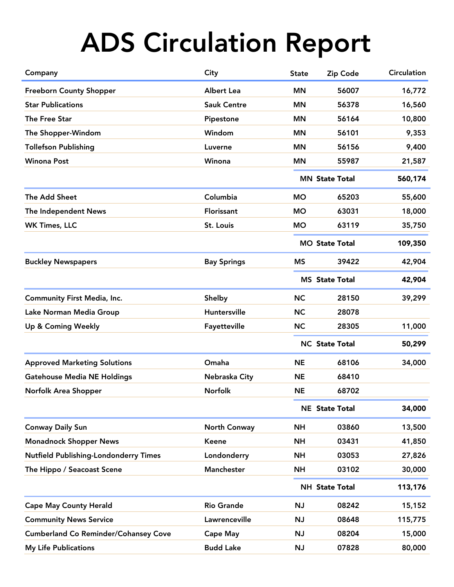| Company                                      | City               | <b>State</b>          | Zip Code              | <b>Circulation</b> |  |
|----------------------------------------------|--------------------|-----------------------|-----------------------|--------------------|--|
| <b>Freeborn County Shopper</b>               | <b>Albert Lea</b>  | <b>MN</b>             | 56007                 | 16,772             |  |
| <b>Star Publications</b>                     | <b>Sauk Centre</b> | <b>MN</b>             | 56378                 | 16,560             |  |
| The Free Star                                | Pipestone          | <b>MN</b>             | 56164                 | 10,800             |  |
| The Shopper-Windom                           | Windom             | <b>MN</b>             | 56101                 | 9,353              |  |
| <b>Tollefson Publishing</b>                  | Luverne            | <b>MN</b>             | 56156                 | 9,400              |  |
| <b>Winona Post</b>                           | Winona             | <b>MN</b>             | 55987                 | 21,587             |  |
|                                              |                    |                       | <b>MN State Total</b> |                    |  |
| The Add Sheet                                | Columbia           | <b>MO</b>             | 65203                 | 55,600             |  |
| The Independent News                         | Florissant         | <b>MO</b>             | 63031                 | 18,000             |  |
| <b>WK Times, LLC</b>                         | St. Louis          | <b>MO</b>             | 63119                 | 35,750             |  |
|                                              |                    |                       | <b>MO State Total</b> | 109,350            |  |
| <b>Buckley Newspapers</b>                    | <b>Bay Springs</b> | <b>MS</b>             | 39422                 | 42,904             |  |
|                                              |                    | <b>MS</b> State Total |                       | 42,904             |  |
| <b>Community First Media, Inc.</b>           | Shelby             | <b>NC</b>             | 28150                 | 39,299             |  |
| Lake Norman Media Group                      | Huntersville       | <b>NC</b>             | 28078                 |                    |  |
| Up & Coming Weekly                           | Fayetteville       | <b>NC</b>             | 28305                 | 11,000             |  |
|                                              |                    |                       | <b>NC State Total</b> |                    |  |
| <b>Approved Marketing Solutions</b>          | Omaha              | <b>NE</b>             | 68106                 | 34,000             |  |
| <b>Gatehouse Media NE Holdings</b>           | Nebraska City      | <b>NE</b>             | 68410                 |                    |  |
| Norfolk Area Shopper                         | Norfolk            | <b>NE</b>             | 68702                 |                    |  |
|                                              |                    |                       | <b>NE</b> State Total | 34,000             |  |
| <b>Conway Daily Sun</b>                      | North Conway       | <b>NH</b>             | 03860                 | 13,500             |  |
| <b>Monadnock Shopper News</b>                | <b>Keene</b>       | <b>NH</b>             | 03431                 | 41,850             |  |
| <b>Nutfield Publishing-Londonderry Times</b> | Londonderry        | <b>NH</b>             | 03053                 | 27,826             |  |
| The Hippo / Seacoast Scene                   | Manchester         | <b>NH</b>             | 03102                 | 30,000             |  |
|                                              |                    |                       | <b>NH State Total</b> |                    |  |
| <b>Cape May County Herald</b>                | <b>Rio Grande</b>  | NJ                    | 08242                 | 15,152             |  |
| <b>Community News Service</b>                | Lawrenceville      | NJ                    | 08648                 | 115,775            |  |
| <b>Cumberland Co Reminder/Cohansey Cove</b>  | <b>Cape May</b>    | <b>NJ</b>             | 08204                 | 15,000             |  |
| <b>My Life Publications</b>                  | <b>Budd Lake</b>   | NJ                    | 07828                 | 80,000             |  |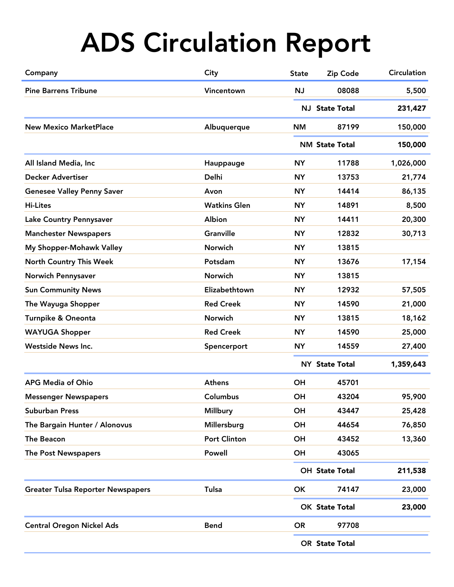| Company                                  | City                | <b>State</b> | Zip Code                           | Circulation |  |
|------------------------------------------|---------------------|--------------|------------------------------------|-------------|--|
| <b>Pine Barrens Tribune</b>              | Vincentown          | NJ           | 08088                              | 5,500       |  |
|                                          |                     |              | NJ State Total                     | 231,427     |  |
| <b>New Mexico MarketPlace</b>            | Albuquerque         | <b>NM</b>    | 87199                              | 150,000     |  |
|                                          |                     |              | <b>NM State Total</b>              | 150,000     |  |
| All Island Media, Inc                    | Hauppauge           | <b>NY</b>    | 11788                              | 1,026,000   |  |
| <b>Decker Advertiser</b>                 | <b>Delhi</b>        | <b>NY</b>    | 13753                              | 21,774      |  |
| <b>Genesee Valley Penny Saver</b>        | Avon                | <b>NY</b>    | 14414                              | 86,135      |  |
| <b>Hi-Lites</b>                          | <b>Watkins Glen</b> | <b>NY</b>    | 14891                              | 8,500       |  |
| Lake Country Pennysaver                  | Albion              | <b>NY</b>    | 14411                              | 20,300      |  |
| <b>Manchester Newspapers</b>             | <b>Granville</b>    | <b>NY</b>    | 12832                              | 30,713      |  |
| My Shopper-Mohawk Valley                 | Norwich             | <b>NY</b>    | 13815                              |             |  |
| <b>North Country This Week</b>           | Potsdam             | <b>NY</b>    | 13676                              | 17,154      |  |
| <b>Norwich Pennysaver</b>                | Norwich             | <b>NY</b>    | 13815                              |             |  |
| <b>Sun Community News</b>                | Elizabethtown       | <b>NY</b>    | 12932                              | 57,505      |  |
| The Wayuga Shopper                       | <b>Red Creek</b>    | <b>NY</b>    | 14590                              | 21,000      |  |
| Turnpike & Oneonta                       | Norwich             | <b>NY</b>    | 13815                              | 18,162      |  |
| <b>WAYUGA Shopper</b>                    | <b>Red Creek</b>    | <b>NY</b>    | 14590                              | 25,000      |  |
| <b>Westside News Inc.</b>                | Spencerport         | <b>NY</b>    | 14559                              | 27,400      |  |
|                                          |                     |              | 1,359,643<br><b>NY State Total</b> |             |  |
| <b>APG Media of Ohio</b>                 | <b>Athens</b>       | <b>OH</b>    | 45701                              |             |  |
| <b>Messenger Newspapers</b>              | Columbus            | OH           | 43204                              | 95,900      |  |
| <b>Suburban Press</b>                    | <b>Millbury</b>     | <b>OH</b>    | 43447                              | 25,428      |  |
| The Bargain Hunter / Alonovus            | Millersburg         | <b>OH</b>    | 44654                              | 76,850      |  |
| The Beacon                               | <b>Port Clinton</b> | OH           | 43452                              | 13,360      |  |
| The Post Newspapers                      | Powell              | OH           | 43065                              |             |  |
|                                          |                     |              | OH State Total<br>211,538          |             |  |
| <b>Greater Tulsa Reporter Newspapers</b> | <b>Tulsa</b>        | OK           | 74147                              | 23,000      |  |
|                                          |                     |              | OK State Total                     | 23,000      |  |
| <b>Central Oregon Nickel Ads</b>         | <b>Bend</b>         | <b>OR</b>    | 97708                              |             |  |
|                                          |                     |              | OR State Total                     |             |  |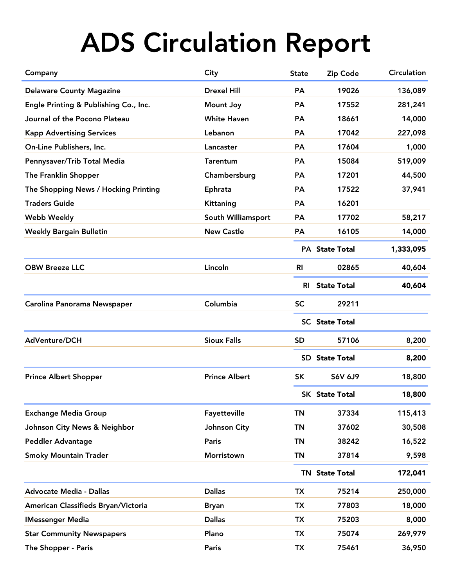| Company                               | City                 | <b>State</b> | Zip Code              | <b>Circulation</b> |
|---------------------------------------|----------------------|--------------|-----------------------|--------------------|
| <b>Delaware County Magazine</b>       | <b>Drexel Hill</b>   | <b>PA</b>    | 19026                 | 136,089            |
| Engle Printing & Publishing Co., Inc. | <b>Mount Joy</b>     | PA           | 17552                 | 281,241            |
| Journal of the Pocono Plateau         | <b>White Haven</b>   | PA           | 18661                 | 14,000             |
| <b>Kapp Advertising Services</b>      | Lebanon              | PA           | 17042                 | 227,098            |
| On-Line Publishers, Inc.              | Lancaster            | <b>PA</b>    | 17604                 | 1,000              |
| Pennysaver/Trib Total Media           | <b>Tarentum</b>      | <b>PA</b>    | 15084                 | 519,009            |
| The Franklin Shopper                  | Chambersburg         | <b>PA</b>    | 17201                 | 44,500             |
| The Shopping News / Hocking Printing  | Ephrata              | <b>PA</b>    | 17522                 | 37,941             |
| <b>Traders Guide</b>                  | Kittaning            | PA           | 16201                 |                    |
| <b>Webb Weekly</b>                    | South Williamsport   | <b>PA</b>    | 17702                 | 58,217             |
| <b>Weekly Bargain Bulletin</b>        | <b>New Castle</b>    | <b>PA</b>    | 16105                 | 14,000             |
|                                       |                      |              | <b>PA</b> State Total | 1,333,095          |
| <b>OBW Breeze LLC</b>                 | Lincoln              | <b>RI</b>    | 02865                 | 40,604             |
|                                       |                      |              | <b>RI</b> State Total | 40,604             |
| Carolina Panorama Newspaper           | Columbia             | <b>SC</b>    | 29211                 |                    |
|                                       |                      |              | <b>SC</b> State Total |                    |
| AdVenture/DCH                         | <b>Sioux Falls</b>   | <b>SD</b>    | 57106                 | 8,200              |
|                                       |                      |              | <b>SD</b> State Total | 8,200              |
| <b>Prince Albert Shopper</b>          | <b>Prince Albert</b> | <b>SK</b>    | <b>S6V 6J9</b>        | 18,800             |
|                                       |                      |              | <b>SK</b> State Total | 18,800             |
| <b>Exchange Media Group</b>           | Fayetteville         | <b>TN</b>    | 37334                 | 115,413            |
| Johnson City News & Neighbor          | Johnson City         | <b>TN</b>    | 37602                 | 30,508             |
| <b>Peddler Advantage</b>              | <b>Paris</b>         | TN           | 38242                 | 16,522             |
| <b>Smoky Mountain Trader</b>          | Morristown           | <b>TN</b>    | 37814                 | 9,598              |
|                                       |                      |              | <b>TN State Total</b> | 172,041            |
| <b>Advocate Media - Dallas</b>        | <b>Dallas</b>        | <b>TX</b>    | 75214                 | 250,000            |
| American Classifieds Bryan/Victoria   | <b>Bryan</b>         | <b>TX</b>    | 77803                 | 18,000             |
| <b>IMessenger Media</b>               | <b>Dallas</b>        | <b>TX</b>    | 75203                 | 8,000              |
| <b>Star Community Newspapers</b>      | Plano                | <b>TX</b>    | 75074                 | 269,979            |
| The Shopper - Paris                   | Paris                | <b>TX</b>    | 75461                 | 36,950             |